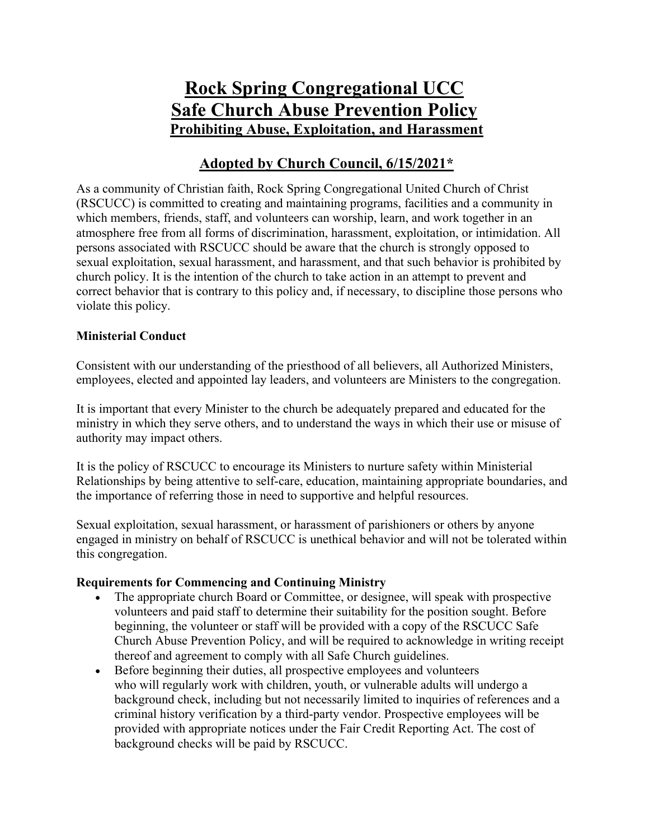# **Rock Spring Congregational UCC Safe Church Abuse Prevention Policy Prohibiting Abuse, Exploitation, and Harassment**

### **Adopted by Church Council, 6/15/2021\***

As a community of Christian faith, Rock Spring Congregational United Church of Christ (RSCUCC) is committed to creating and maintaining programs, facilities and a community in which members, friends, staff, and volunteers can worship, learn, and work together in an atmosphere free from all forms of discrimination, harassment, exploitation, or intimidation. All persons associated with RSCUCC should be aware that the church is strongly opposed to sexual exploitation, sexual harassment, and harassment, and that such behavior is prohibited by church policy. It is the intention of the church to take action in an attempt to prevent and correct behavior that is contrary to this policy and, if necessary, to discipline those persons who violate this policy.

#### **Ministerial Conduct**

Consistent with our understanding of the priesthood of all believers, all Authorized Ministers, employees, elected and appointed lay leaders, and volunteers are Ministers to the congregation.

It is important that every Minister to the church be adequately prepared and educated for the ministry in which they serve others, and to understand the ways in which their use or misuse of authority may impact others.

It is the policy of RSCUCC to encourage its Ministers to nurture safety within Ministerial Relationships by being attentive to self-care, education, maintaining appropriate boundaries, and the importance of referring those in need to supportive and helpful resources.

Sexual exploitation, sexual harassment, or harassment of parishioners or others by anyone engaged in ministry on behalf of RSCUCC is unethical behavior and will not be tolerated within this congregation.

#### **Requirements for Commencing and Continuing Ministry**

- The appropriate church Board or Committee, or designee, will speak with prospective volunteers and paid staff to determine their suitability for the position sought. Before beginning, the volunteer or staff will be provided with a copy of the RSCUCC Safe Church Abuse Prevention Policy, and will be required to acknowledge in writing receipt thereof and agreement to comply with all Safe Church guidelines.
- Before beginning their duties, all prospective employees and volunteers who will regularly work with children, youth, or vulnerable adults will undergo a background check, including but not necessarily limited to inquiries of references and a criminal history verification by a third-party vendor. Prospective employees will be provided with appropriate notices under the Fair Credit Reporting Act. The cost of background checks will be paid by RSCUCC.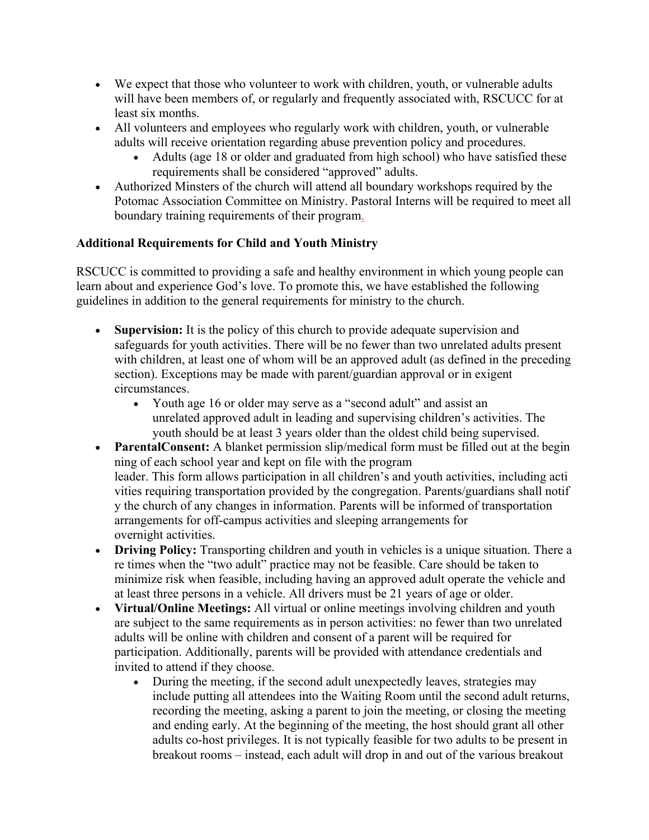- We expect that those who volunteer to work with children, youth, or vulnerable adults will have been members of, or regularly and frequently associated with, RSCUCC for at least six months.
- All volunteers and employees who regularly work with children, youth, or vulnerable adults will receive orientation regarding abuse prevention policy and procedures.
	- Adults (age 18 or older and graduated from high school) who have satisfied these requirements shall be considered "approved" adults.
- Authorized Minsters of the church will attend all boundary workshops required by the Potomac Association Committee on Ministry. Pastoral Interns will be required to meet all boundary training requirements of their program.

### **Additional Requirements for Child and Youth Ministry**

RSCUCC is committed to providing a safe and healthy environment in which young people can learn about and experience God's love. To promote this, we have established the following guidelines in addition to the general requirements for ministry to the church.

- **Supervision:** It is the policy of this church to provide adequate supervision and safeguards for youth activities. There will be no fewer than two unrelated adults present with children, at least one of whom will be an approved adult (as defined in the preceding section). Exceptions may be made with parent/guardian approval or in exigent circumstances.
	- Youth age 16 or older may serve as a "second adult" and assist an unrelated approved adult in leading and supervising children's activities. The youth should be at least 3 years older than the oldest child being supervised.
- **ParentalConsent:** A blanket permission slip/medical form must be filled out at the begin ning of each school year and kept on file with the program leader. This form allows participation in all children's and youth activities, including acti vities requiring transportation provided by the congregation. Parents/guardians shall notif y the church of any changes in information. Parents will be informed of transportation arrangements for off-campus activities and sleeping arrangements for overnight activities.
- **Driving Policy:** Transporting children and youth in vehicles is a unique situation. There a re times when the "two adult" practice may not be feasible. Care should be taken to minimize risk when feasible, including having an approved adult operate the vehicle and at least three persons in a vehicle. All drivers must be 21 years of age or older.
- **Virtual/Online Meetings:** All virtual or online meetings involving children and youth are subject to the same requirements as in person activities: no fewer than two unrelated adults will be online with children and consent of a parent will be required for participation. Additionally, parents will be provided with attendance credentials and invited to attend if they choose.
	- During the meeting, if the second adult unexpectedly leaves, strategies may include putting all attendees into the Waiting Room until the second adult returns, recording the meeting, asking a parent to join the meeting, or closing the meeting and ending early. At the beginning of the meeting, the host should grant all other adults co-host privileges. It is not typically feasible for two adults to be present in breakout rooms – instead, each adult will drop in and out of the various breakout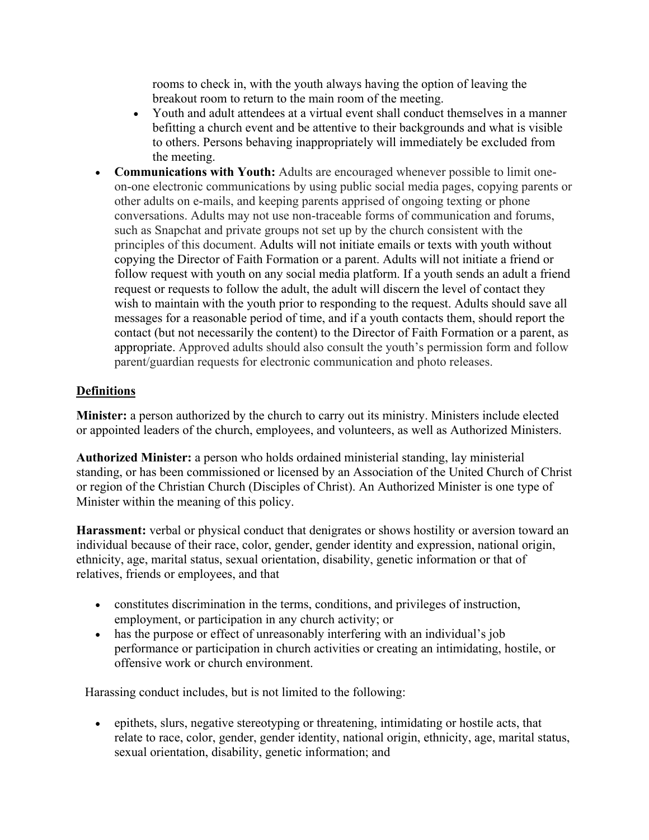rooms to check in, with the youth always having the option of leaving the breakout room to return to the main room of the meeting.

- Youth and adult attendees at a virtual event shall conduct themselves in a manner befitting a church event and be attentive to their backgrounds and what is visible to others. Persons behaving inappropriately will immediately be excluded from the meeting.
- **Communications with Youth:** Adults are encouraged whenever possible to limit oneon-one electronic communications by using public social media pages, copying parents or other adults on e-mails, and keeping parents apprised of ongoing texting or phone conversations. Adults may not use non-traceable forms of communication and forums, such as Snapchat and private groups not set up by the church consistent with the principles of this document. Adults will not initiate emails or texts with youth without copying the Director of Faith Formation or a parent. Adults will not initiate a friend or follow request with youth on any social media platform. If a youth sends an adult a friend request or requests to follow the adult, the adult will discern the level of contact they wish to maintain with the youth prior to responding to the request. Adults should save all messages for a reasonable period of time, and if a youth contacts them, should report the contact (but not necessarily the content) to the Director of Faith Formation or a parent, as appropriate. Approved adults should also consult the youth's permission form and follow parent/guardian requests for electronic communication and photo releases.

#### **Definitions**

**Minister:** a person authorized by the church to carry out its ministry. Ministers include elected or appointed leaders of the church, employees, and volunteers, as well as Authorized Ministers.

**Authorized Minister:** a person who holds ordained ministerial standing, lay ministerial standing, or has been commissioned or licensed by an Association of the United Church of Christ or region of the Christian Church (Disciples of Christ). An Authorized Minister is one type of Minister within the meaning of this policy.

**Harassment:** verbal or physical conduct that denigrates or shows hostility or aversion toward an individual because of their race, color, gender, gender identity and expression, national origin, ethnicity, age, marital status, sexual orientation, disability, genetic information or that of relatives, friends or employees, and that

- constitutes discrimination in the terms, conditions, and privileges of instruction, employment, or participation in any church activity; or
- has the purpose or effect of unreasonably interfering with an individual's job performance or participation in church activities or creating an intimidating, hostile, or offensive work or church environment.

Harassing conduct includes, but is not limited to the following:

• epithets, slurs, negative stereotyping or threatening, intimidating or hostile acts, that relate to race, color, gender, gender identity, national origin, ethnicity, age, marital status, sexual orientation, disability, genetic information; and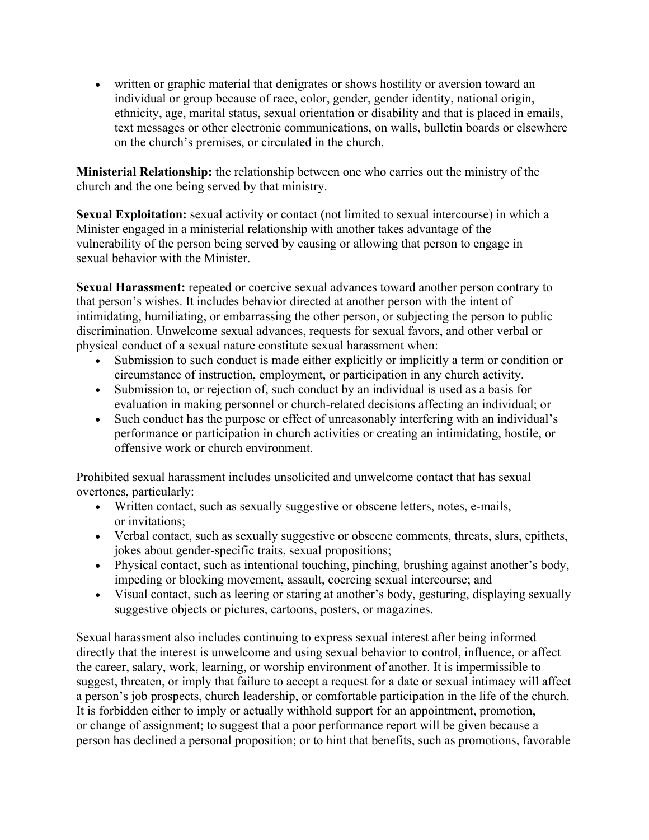• written or graphic material that denigrates or shows hostility or aversion toward an individual or group because of race, color, gender, gender identity, national origin, ethnicity, age, marital status, sexual orientation or disability and that is placed in emails, text messages or other electronic communications, on walls, bulletin boards or elsewhere on the church's premises, or circulated in the church.

**Ministerial Relationship:** the relationship between one who carries out the ministry of the church and the one being served by that ministry.

**Sexual Exploitation:** sexual activity or contact (not limited to sexual intercourse) in which a Minister engaged in a ministerial relationship with another takes advantage of the vulnerability of the person being served by causing or allowing that person to engage in sexual behavior with the Minister.

**Sexual Harassment:** repeated or coercive sexual advances toward another person contrary to that person's wishes. It includes behavior directed at another person with the intent of intimidating, humiliating, or embarrassing the other person, or subjecting the person to public discrimination. Unwelcome sexual advances, requests for sexual favors, and other verbal or physical conduct of a sexual nature constitute sexual harassment when:

- Submission to such conduct is made either explicitly or implicitly a term or condition or circumstance of instruction, employment, or participation in any church activity.
- Submission to, or rejection of, such conduct by an individual is used as a basis for evaluation in making personnel or church-related decisions affecting an individual; or
- Such conduct has the purpose or effect of unreasonably interfering with an individual's performance or participation in church activities or creating an intimidating, hostile, or offensive work or church environment.

Prohibited sexual harassment includes unsolicited and unwelcome contact that has sexual overtones, particularly:

- Written contact, such as sexually suggestive or obscene letters, notes, e-mails, or invitations;
- Verbal contact, such as sexually suggestive or obscene comments, threats, slurs, epithets, jokes about gender-specific traits, sexual propositions;
- Physical contact, such as intentional touching, pinching, brushing against another's body, impeding or blocking movement, assault, coercing sexual intercourse; and
- Visual contact, such as leering or staring at another's body, gesturing, displaying sexually suggestive objects or pictures, cartoons, posters, or magazines.

Sexual harassment also includes continuing to express sexual interest after being informed directly that the interest is unwelcome and using sexual behavior to control, influence, or affect the career, salary, work, learning, or worship environment of another. It is impermissible to suggest, threaten, or imply that failure to accept a request for a date or sexual intimacy will affect a person's job prospects, church leadership, or comfortable participation in the life of the church. It is forbidden either to imply or actually withhold support for an appointment, promotion, or change of assignment; to suggest that a poor performance report will be given because a person has declined a personal proposition; or to hint that benefits, such as promotions, favorable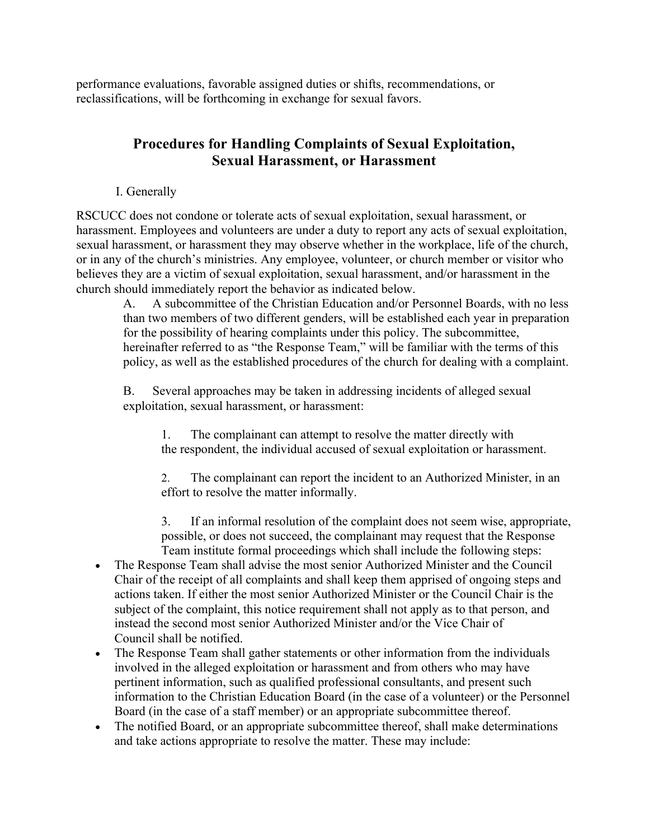performance evaluations, favorable assigned duties or shifts, recommendations, or reclassifications, will be forthcoming in exchange for sexual favors.

### **Procedures for Handling Complaints of Sexual Exploitation, Sexual Harassment, or Harassment**

I. Generally

RSCUCC does not condone or tolerate acts of sexual exploitation, sexual harassment, or harassment. Employees and volunteers are under a duty to report any acts of sexual exploitation, sexual harassment, or harassment they may observe whether in the workplace, life of the church, or in any of the church's ministries. Any employee, volunteer, or church member or visitor who believes they are a victim of sexual exploitation, sexual harassment, and/or harassment in the church should immediately report the behavior as indicated below.

A. A subcommittee of the Christian Education and/or Personnel Boards, with no less than two members of two different genders, will be established each year in preparation for the possibility of hearing complaints under this policy. The subcommittee, hereinafter referred to as "the Response Team," will be familiar with the terms of this policy, as well as the established procedures of the church for dealing with a complaint.

B. Several approaches may be taken in addressing incidents of alleged sexual exploitation, sexual harassment, or harassment:

1. The complainant can attempt to resolve the matter directly with the respondent, the individual accused of sexual exploitation or harassment.

2. The complainant can report the incident to an Authorized Minister, in an effort to resolve the matter informally.

3. If an informal resolution of the complaint does not seem wise, appropriate, possible, or does not succeed, the complainant may request that the Response Team institute formal proceedings which shall include the following steps:

- The Response Team shall advise the most senior Authorized Minister and the Council Chair of the receipt of all complaints and shall keep them apprised of ongoing steps and actions taken. If either the most senior Authorized Minister or the Council Chair is the subject of the complaint, this notice requirement shall not apply as to that person, and instead the second most senior Authorized Minister and/or the Vice Chair of Council shall be notified.
- The Response Team shall gather statements or other information from the individuals involved in the alleged exploitation or harassment and from others who may have pertinent information, such as qualified professional consultants, and present such information to the Christian Education Board (in the case of a volunteer) or the Personnel Board (in the case of a staff member) or an appropriate subcommittee thereof.
- The notified Board, or an appropriate subcommittee thereof, shall make determinations and take actions appropriate to resolve the matter. These may include: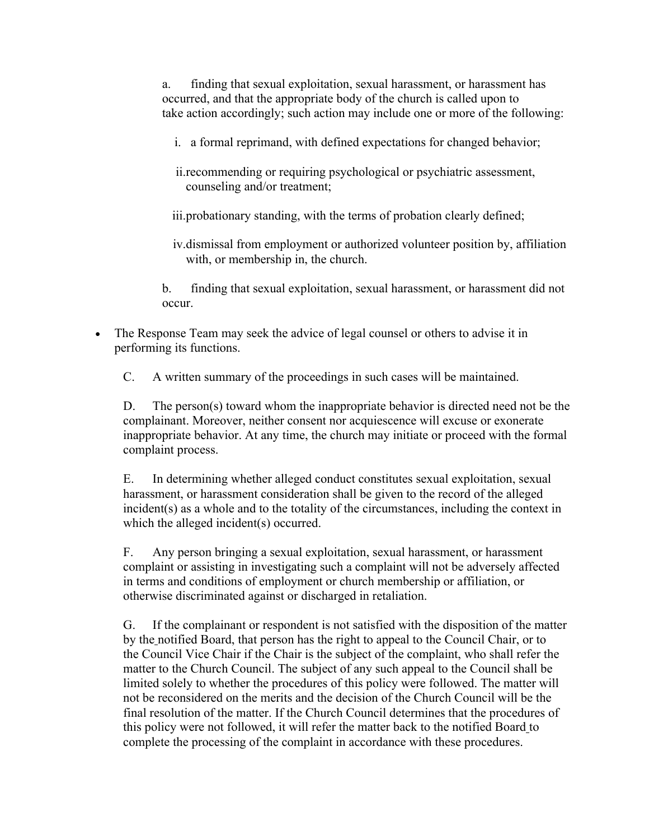a. finding that sexual exploitation, sexual harassment, or harassment has occurred, and that the appropriate body of the church is called upon to take action accordingly; such action may include one or more of the following:

i. a formal reprimand, with defined expectations for changed behavior;

ii.recommending or requiring psychological or psychiatric assessment, counseling and/or treatment;

iii.probationary standing, with the terms of probation clearly defined;

iv.dismissal from employment or authorized volunteer position by, affiliation with, or membership in, the church.

b. finding that sexual exploitation, sexual harassment, or harassment did not occur.

• The Response Team may seek the advice of legal counsel or others to advise it in performing its functions.

C. A written summary of the proceedings in such cases will be maintained.

D. The person(s) toward whom the inappropriate behavior is directed need not be the complainant. Moreover, neither consent nor acquiescence will excuse or exonerate inappropriate behavior. At any time, the church may initiate or proceed with the formal complaint process.

E. In determining whether alleged conduct constitutes sexual exploitation, sexual harassment, or harassment consideration shall be given to the record of the alleged incident(s) as a whole and to the totality of the circumstances, including the context in which the alleged incident(s) occurred.

F. Any person bringing a sexual exploitation, sexual harassment, or harassment complaint or assisting in investigating such a complaint will not be adversely affected in terms and conditions of employment or church membership or affiliation, or otherwise discriminated against or discharged in retaliation.

G. If the complainant or respondent is not satisfied with the disposition of the matter by the notified Board, that person has the right to appeal to the Council Chair, or to the Council Vice Chair if the Chair is the subject of the complaint, who shall refer the matter to the Church Council. The subject of any such appeal to the Council shall be limited solely to whether the procedures of this policy were followed. The matter will not be reconsidered on the merits and the decision of the Church Council will be the final resolution of the matter. If the Church Council determines that the procedures of this policy were not followed, it will refer the matter back to the notified Board to complete the processing of the complaint in accordance with these procedures.